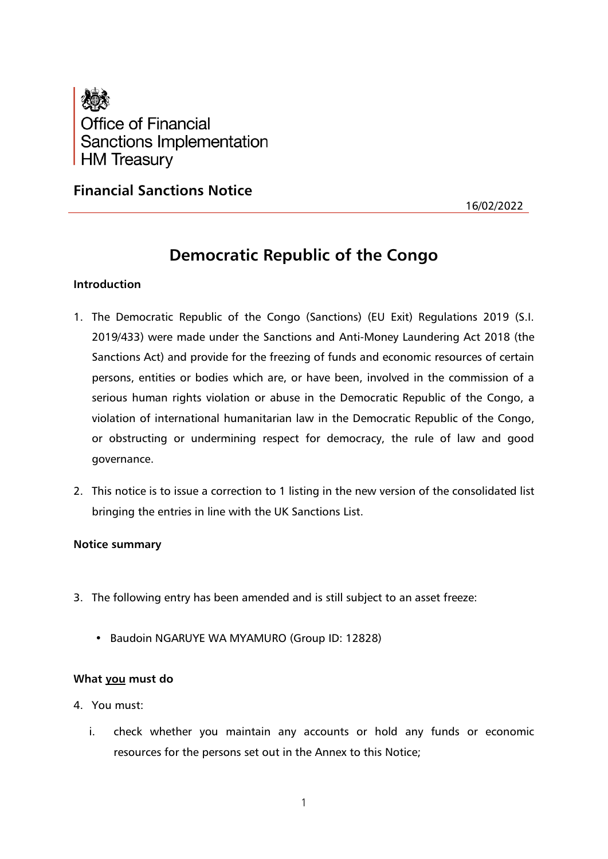

## **Financial Sanctions Notice**

16/02/2022

# **Democratic Republic of the Congo**

### **Introduction**

- 1. The Democratic Republic of the Congo (Sanctions) (EU Exit) Regulations 2019 (S.I. 2019/433) were made under the Sanctions and Anti-Money Laundering Act 2018 (the Sanctions Act) and provide for the freezing of funds and economic resources of certain persons, entities or bodies which are, or have been, involved in the commission of a serious human rights violation or abuse in the Democratic Republic of the Congo, a violation of international humanitarian law in the Democratic Republic of the Congo, or obstructing or undermining respect for democracy, the rule of law and good governance.
- 2. This notice is to issue a correction to 1 listing in the new version of the consolidated list bringing the entries in line with the UK Sanctions List.

#### **Notice summary**

- 3. The following entry has been amended and is still subject to an asset freeze:
	- Baudoin NGARUYE WA MYAMURO (Group ID: 12828)

#### **What you must do**

- 4. You must:
	- i. check whether you maintain any accounts or hold any funds or economic resources for the persons set out in the Annex to this Notice;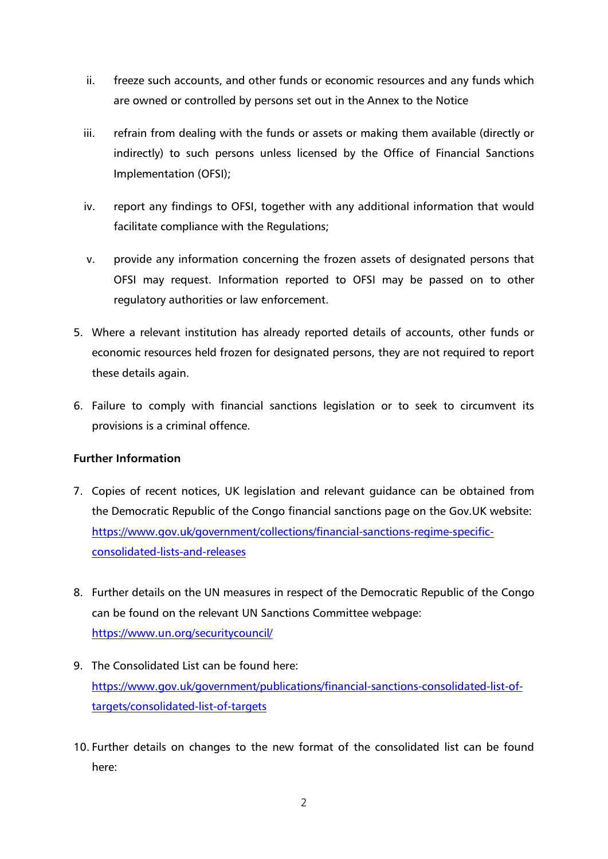- ii. freeze such accounts, and other funds or economic resources and any funds which are owned or controlled by persons set out in the Annex to the Notice
- iii. refrain from dealing with the funds or assets or making them available (directly or indirectly) to such persons unless licensed by the Office of Financial Sanctions Implementation (OFSI);
- iv. report any findings to OFSI, together with any additional information that would facilitate compliance with the Regulations;
- v. provide any information concerning the frozen assets of designated persons that OFSI may request. Information reported to OFSI may be passed on to other regulatory authorities or law enforcement.
- 5. Where a relevant institution has already reported details of accounts, other funds or economic resources held frozen for designated persons, they are not required to report these details again.
- 6. Failure to comply with financial sanctions legislation or to seek to circumvent its provisions is a criminal offence.

## **Further Information**

- 7. Copies of recent notices, UK legislation and relevant guidance can be obtained from the Democratic Republic of the Congo financial sanctions page on the Gov.UK website: [https://www.gov.uk/government/collections/financial-sanctions-regime-specific](https://www.gov.uk/government/collections/financial-sanctions-regime-specific-consolidated-lists-and-releases)[consolidated-lists-and-releases](https://www.gov.uk/government/collections/financial-sanctions-regime-specific-consolidated-lists-and-releases)
- 8. Further details on the UN measures in respect of the Democratic Republic of the Congo can be found on the relevant UN Sanctions Committee webpage: <https://www.un.org/securitycouncil/>
- 9. The Consolidated List can be found here: [https://www.gov.uk/government/publications/financial-sanctions-consolidated-list-of](https://www.gov.uk/government/publications/financial-sanctions-consolidated-list-of-targets/consolidated-list-of-targets)[targets/consolidated-list-of-targets](https://www.gov.uk/government/publications/financial-sanctions-consolidated-list-of-targets/consolidated-list-of-targets)
- 10. Further details on changes to the new format of the consolidated list can be found here: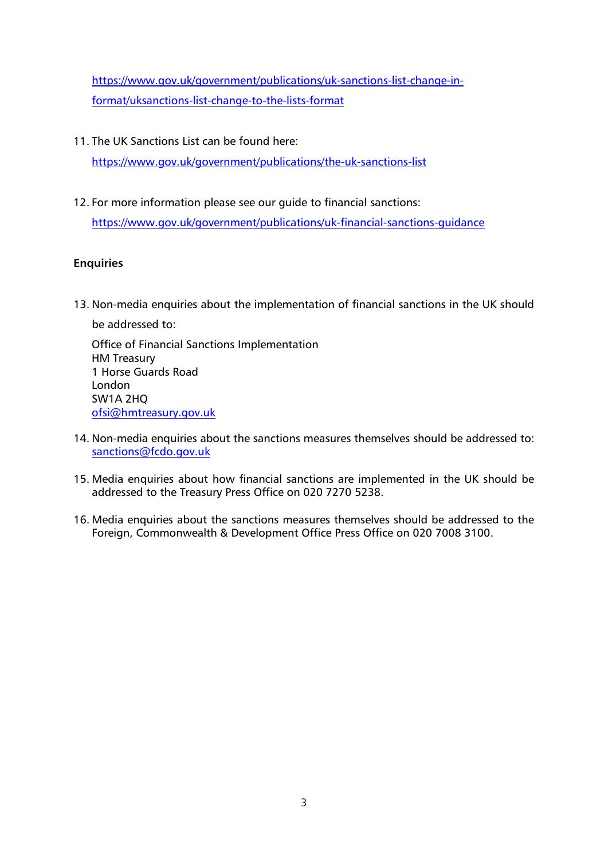[https://www.gov.uk/government/publications/uk-sanctions-list-change-in](https://www.gov.uk/government/publications/uk-sanctions-list-change-in-format/uksanctions-list-change-to-the-lists-format)[format/uksanctions-list-change-to-the-lists-format](https://www.gov.uk/government/publications/uk-sanctions-list-change-in-format/uksanctions-list-change-to-the-lists-format)

11. The UK Sanctions List can be found here:

<https://www.gov.uk/government/publications/the-uk-sanctions-list>

12. For more information please see our guide to financial sanctions:

<https://www.gov.uk/government/publications/uk-financial-sanctions-guidance>

#### **Enquiries**

13. Non-media enquiries about the implementation of financial sanctions in the UK should be addressed to:

Office of Financial Sanctions Implementation HM Treasury 1 Horse Guards Road London SW1A 2HQ [ofsi@hmtreasury.gov.uk](mailto:ofsi@hmtreasury.gov.uk)

- 14. Non-media enquiries about the sanctions measures themselves should be addressed to: [sanctions@fcdo.gov.uk](mailto:sanctions@fcdo.gov.uk)
- 15. Media enquiries about how financial sanctions are implemented in the UK should be addressed to the Treasury Press Office on 020 7270 5238.
- 16. Media enquiries about the sanctions measures themselves should be addressed to the Foreign, Commonwealth & Development Office Press Office on 020 7008 3100.